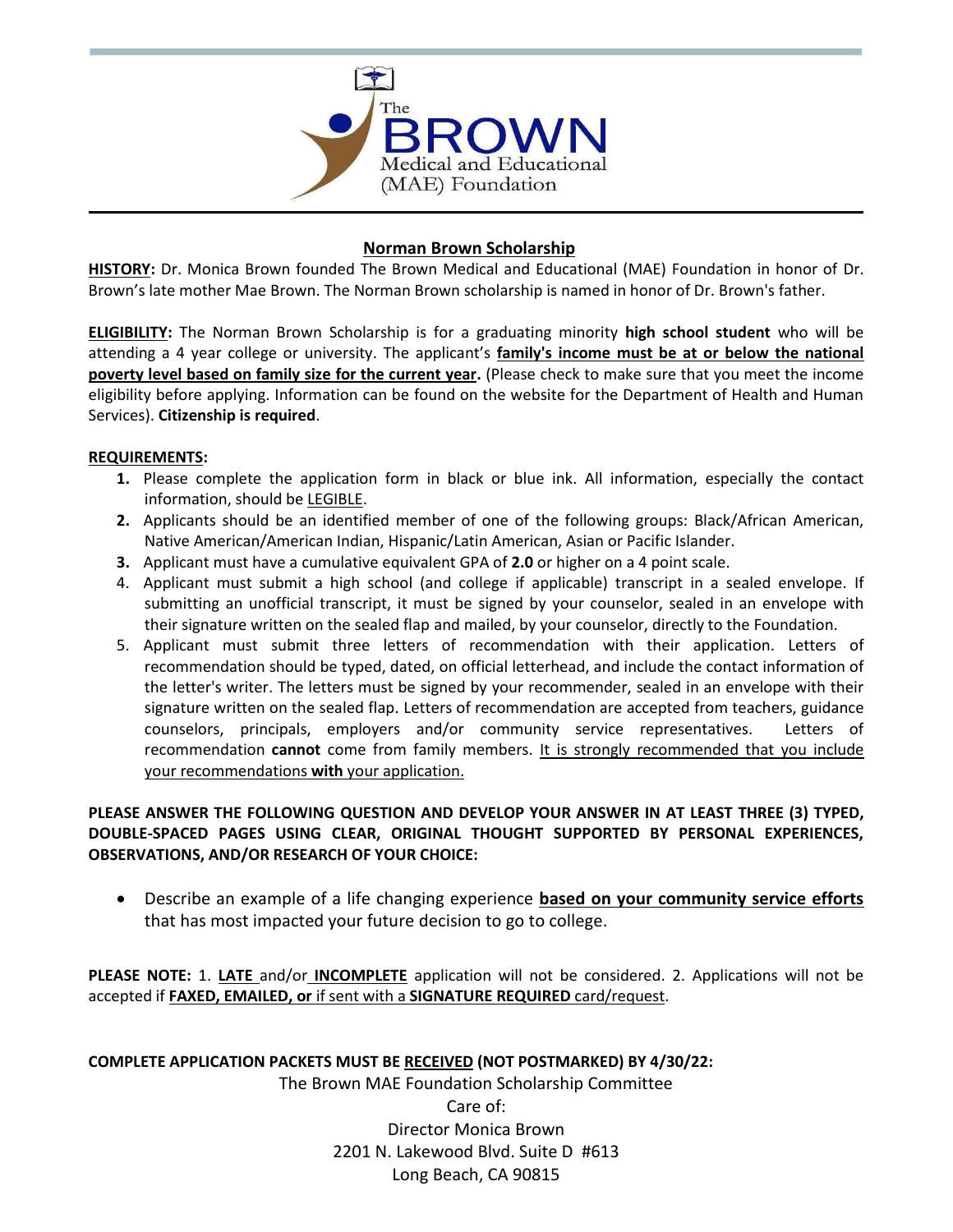

# **Norman Brown Scholarship**

**HISTORY:** Dr. Monica Brown founded The Brown Medical and Educational (MAE) Foundation in honor of Dr. Brown's late mother Mae Brown. The Norman Brown scholarship is named in honor of Dr. Brown's father.

**ELIGIBILITY:** The Norman Brown Scholarship is for a graduating minority **high school student** who will be attending a 4 year college or university. The applicant's **family's income must be at or below the national poverty level based on family size for the current year.** (Please check to make sure that you meet the income eligibility before applying. Information can be found on the website for the Department of Health and Human Services). **Citizenship is required**.

### **REQUIREMENTS:**

- **1.** Please complete the application form in black or blue ink. All information, especially the contact information, should be LEGIBLE.
- **2.** Applicants should be an identified member of one of the following groups: Black/African American, Native American/American Indian, Hispanic/Latin American, Asian or Pacific Islander.
- **3.** Applicant must have a cumulative equivalent GPA of **2.0** or higher on a 4 point scale.
- 4. Applicant must submit a high school (and college if applicable) transcript in a sealed envelope. If submitting an unofficial transcript, it must be signed by your counselor, sealed in an envelope with their signature written on the sealed flap and mailed, by your counselor, directly to the Foundation.
- 5. Applicant must submit three letters of recommendation with their application. Letters of recommendation should be typed, dated, on official letterhead, and include the contact information of the letter's writer. The letters must be signed by your recommender, sealed in an envelope with their signature written on the sealed flap. Letters of recommendation are accepted from teachers, guidance counselors, principals, employers and/or community service representatives. Letters of recommendation **cannot** come from family members. It is strongly recommended that you include your recommendations **with** your application.

## **PLEASE ANSWER THE FOLLOWING QUESTION AND DEVELOP YOUR ANSWER IN AT LEAST THREE (3) TYPED, DOUBLE-SPACED PAGES USING CLEAR, ORIGINAL THOUGHT SUPPORTED BY PERSONAL EXPERIENCES, OBSERVATIONS, AND/OR RESEARCH OF YOUR CHOICE:**

 Describe an example of a life changing experience **based on your community service efforts**  that has most impacted your future decision to go to college.

**PLEASE NOTE:** 1. **LATE** and/or **INCOMPLETE** application will not be considered. 2. Applications will not be accepted if **FAXED, EMAILED, or** if sent with a **SIGNATURE REQUIRED** card/request.

**COMPLETE APPLICATION PACKETS MUST BE RECEIVED (NOT POSTMARKED) BY 4/30/22:**

The Brown MAE Foundation Scholarship Committee

Care of: Director Monica Brown 2201 N. Lakewood Blvd. Suite D #613 Long Beach, CA 90815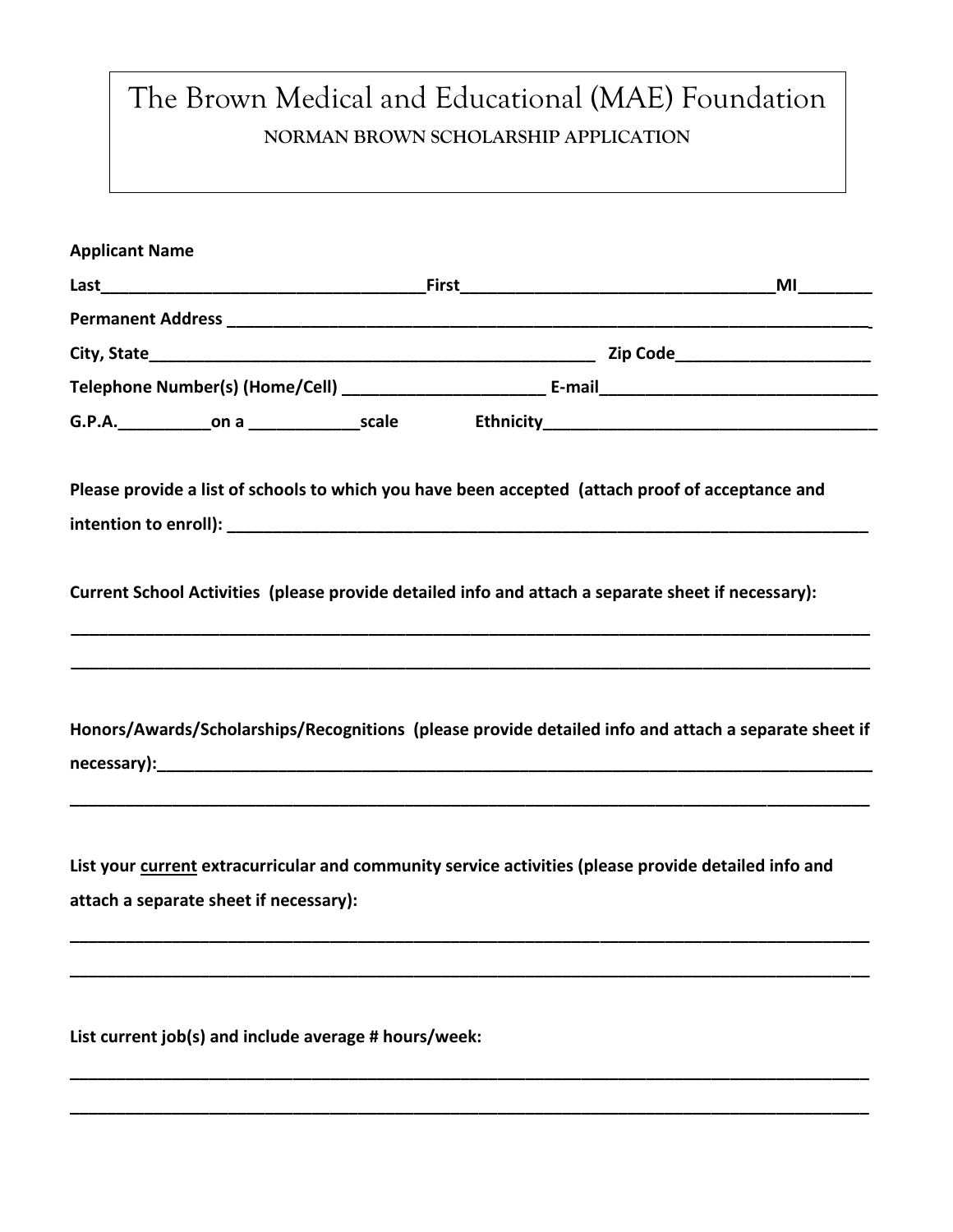# The Brown Medical and Educational (MAE) Foundation **NORMAN BROWN SCHOLARSHIP APPLICATION**

| <b>Applicant Name</b> |                                        |                                                       |                                                                                                                                                                                                                               |                                                                                                      |
|-----------------------|----------------------------------------|-------------------------------------------------------|-------------------------------------------------------------------------------------------------------------------------------------------------------------------------------------------------------------------------------|------------------------------------------------------------------------------------------------------|
|                       |                                        |                                                       |                                                                                                                                                                                                                               |                                                                                                      |
|                       |                                        |                                                       |                                                                                                                                                                                                                               |                                                                                                      |
|                       |                                        |                                                       |                                                                                                                                                                                                                               |                                                                                                      |
|                       |                                        |                                                       |                                                                                                                                                                                                                               |                                                                                                      |
|                       |                                        |                                                       |                                                                                                                                                                                                                               |                                                                                                      |
|                       |                                        |                                                       |                                                                                                                                                                                                                               | Please provide a list of schools to which you have been accepted (attach proof of acceptance and     |
|                       |                                        |                                                       |                                                                                                                                                                                                                               | Current School Activities (please provide detailed info and attach a separate sheet if necessary):   |
|                       |                                        |                                                       | necessary): Network and the set of the set of the set of the set of the set of the set of the set of the set of the set of the set of the set of the set of the set of the set of the set of the set of the set of the set of | Honors/Awards/Scholarships/Recognitions (please provide detailed info and attach a separate sheet if |
|                       | attach a separate sheet if necessary): |                                                       |                                                                                                                                                                                                                               | List your current extracurricular and community service activities (please provide detailed info and |
|                       |                                        | List current job(s) and include average # hours/week: |                                                                                                                                                                                                                               |                                                                                                      |

**\_\_\_\_\_\_\_\_\_\_\_\_\_\_\_\_\_\_\_\_\_\_\_\_\_\_\_\_\_\_\_\_\_\_\_\_\_\_\_\_\_\_\_\_\_\_\_\_\_\_\_\_\_\_\_\_\_\_\_\_\_\_\_\_\_\_\_\_\_\_\_\_\_\_\_\_\_\_\_\_\_\_\_\_\_\_**

**\_\_\_\_\_\_\_\_\_\_\_\_\_\_\_\_\_\_\_\_\_\_\_\_\_\_\_\_\_\_\_\_\_\_\_\_\_\_\_\_\_\_\_\_\_\_\_\_\_\_\_\_\_\_\_\_\_\_\_\_\_\_\_\_\_\_\_\_\_\_\_\_\_\_\_\_\_\_\_\_\_\_\_\_\_\_**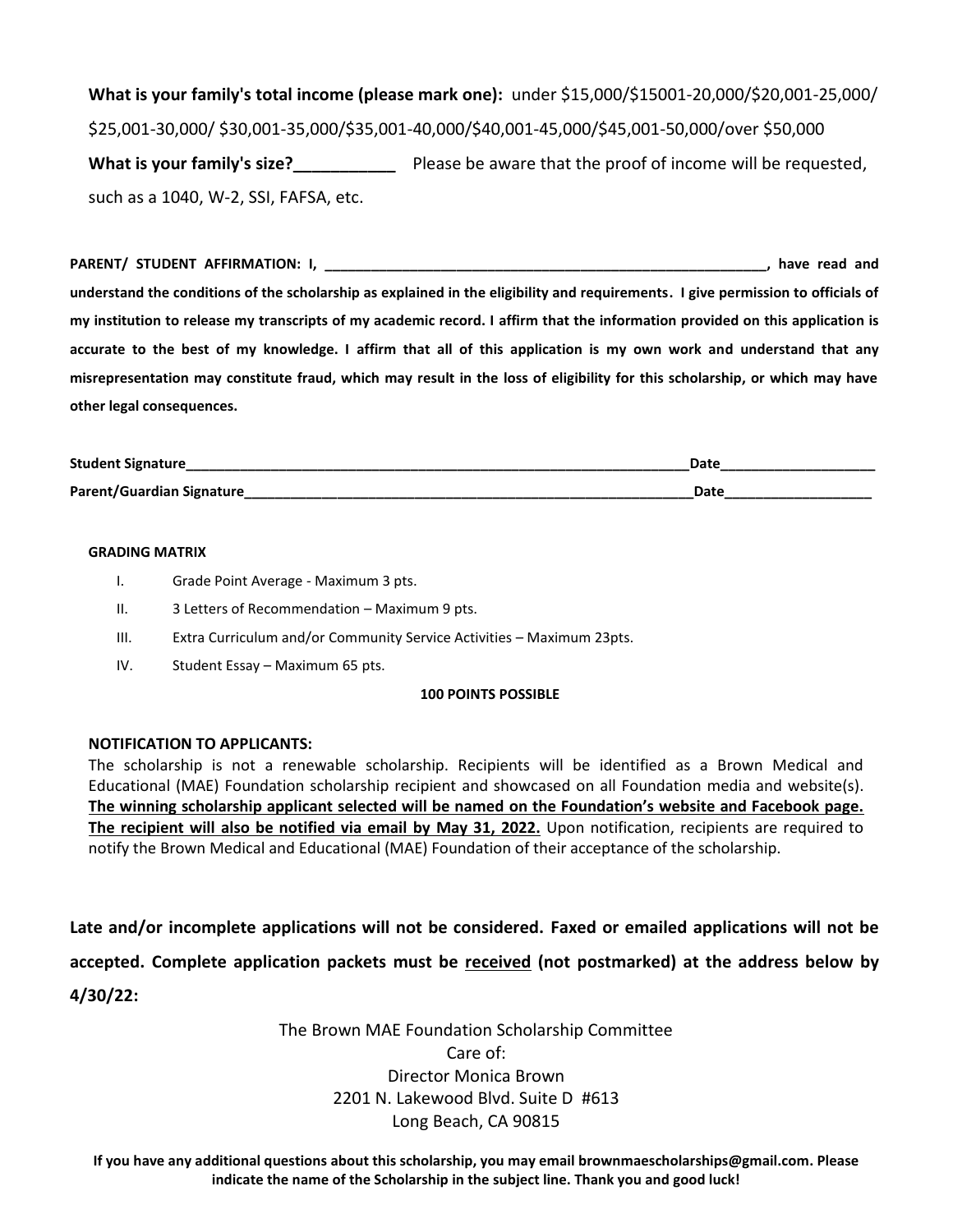**What is your family's total income (please mark one):** under \$15,000/\$15001-20,000/\$20,001-25,000/ \$25,001-30,000/ \$30,001-35,000/\$35,001-40,000/\$40,001-45,000/\$45,001-50,000/over \$50,000 What is your family's size?<br>**What is your family's size?** Please be aware that the proof of income will be requested, such as a 1040, W-2, SSI, FAFSA, etc.

# **PARENT/ STUDENT AFFIRMATION: I, \_\_\_\_\_\_\_\_\_\_\_\_\_\_\_\_\_\_\_\_\_\_\_\_\_\_\_\_\_\_\_\_\_\_\_\_\_\_\_\_\_\_\_\_\_\_\_\_\_\_\_\_\_\_\_\_\_, have read and**

**understand the conditions of the scholarship as explained in the eligibility and requirements. I give permission to officials of my institution to release my transcripts of my academic record. I affirm that the information provided on this application is accurate to the best of my knowledge. I affirm that all of this application is my own work and understand that any misrepresentation may constitute fraud, which may result in the loss of eligibility for this scholarship, or which may have other legal consequences.**

| <b>Student Signature</b>  | Date |
|---------------------------|------|
| Parent/Guardian Signature | Date |

#### **GRADING MATRIX**

- I. Grade Point Average Maximum 3 pts.
- II. 3 Letters of Recommendation Maximum 9 pts.
- III. Extra Curriculum and/or Community Service Activities Maximum 23pts.
- IV. Student Essay Maximum 65 pts.

#### **100 POINTS POSSIBLE**

#### **NOTIFICATION TO APPLICANTS:**

The scholarship is not a renewable scholarship. Recipients will be identified as a Brown Medical and Educational (MAE) Foundation scholarship recipient and showcased on all Foundation media and website(s). **The winning scholarship applicant selected will be named on the Foundation's website and Facebook page. The recipient will also be notified via email by May 31, 2022.** Upon notification, recipients are required to notify the Brown Medical and Educational (MAE) Foundation of their acceptance of the scholarship.

**Late and/or incomplete applications will not be considered. Faxed or emailed applications will not be accepted. Complete application packets must be received (not postmarked) at the address below by 4/30/22:**

> The Brown MAE Foundation Scholarship Committee Care of: Director Monica Brown 2201 N. Lakewood Blvd. Suite D #613 Long Beach, CA 90815

**If you have any additional questions about this scholarship, you may email brownmaescholarships@gmail.com. Please indicate the name of the Scholarship in the subject line. Thank you and good luck!**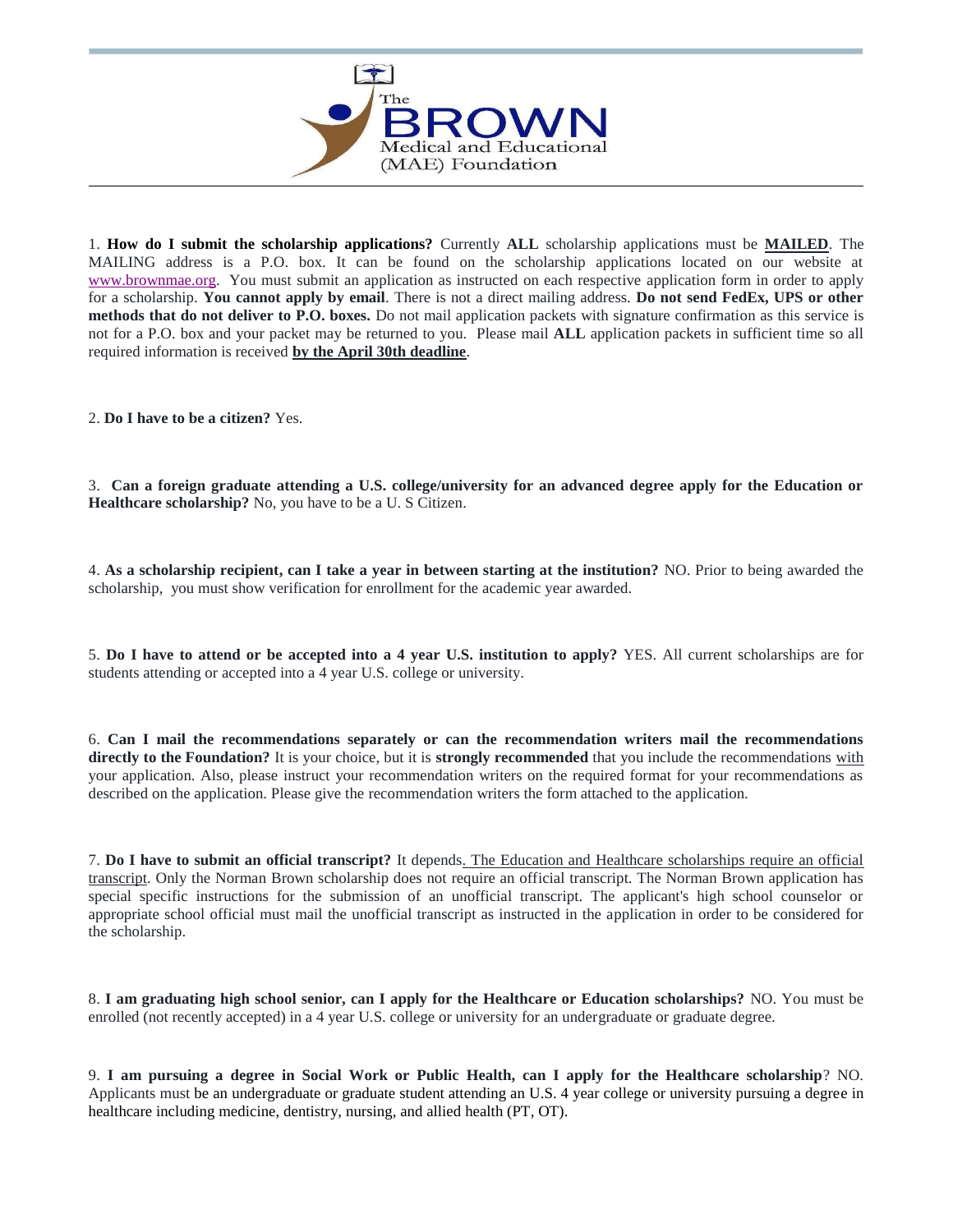

1. **How do I submit the scholarship applications?** Currently **ALL** scholarship applications must be **MAILED**. The MAILING address is a P.O. box. It can be found on the scholarship applications located on our website at [www.brownmae.org.](http://www.brownmeded.org/) You must submit an application as instructed on each respective application form in order to apply for a scholarship. **You cannot apply by email**. There is not a direct mailing address. **Do not send FedEx, UPS or other methods that do not deliver to P.O. boxes.** Do not mail application packets with signature confirmation as this service is not for a P.O. box and your packet may be returned to you. Please mail **ALL** application packets in sufficient time so all required information is received **by the April 30th deadline**.

2. **Do I have to be a citizen?** Yes.

3. **Can a foreign graduate attending a U.S. college/university for an advanced degree apply for the Education or Healthcare scholarship?** No, you have to be a U. S Citizen.

4. **As a scholarship recipient, can I take a year in between starting at the institution?** NO. Prior to being awarded the scholarship, you must show verification for enrollment for the academic year awarded.

5. **Do I have to attend or be accepted into a 4 year U.S. institution to apply?** YES. All current scholarships are for students attending or accepted into a 4 year U.S. college or university.

6. **Can I mail the recommendations separately or can the recommendation writers mail the recommendations directly to the Foundation?** It is your choice, but it is **strongly recommended** that you include the recommendations with your application. Also, please instruct your recommendation writers on the required format for your recommendations as described on the application. Please give the recommendation writers the form attached to the application.

7. **Do I have to submit an official transcript?** It depends. The Education and Healthcare scholarships require an official transcript. Only the Norman Brown scholarship does not require an official transcript. The Norman Brown application has special specific instructions for the submission of an unofficial transcript. The applicant's high school counselor or appropriate school official must mail the unofficial transcript as instructed in the application in order to be considered for the scholarship.

8. **I am graduating high school senior, can I apply for the Healthcare or Education scholarships?** NO. You must be enrolled (not recently accepted) in a 4 year U.S. college or university for an undergraduate or graduate degree.

9. **I am pursuing a degree in Social Work or Public Health, can I apply for the Healthcare scholarship**? NO. Applicants must be an undergraduate or graduate student attending an U.S. 4 year college or university pursuing a degree in healthcare including medicine, dentistry, nursing, and allied health (PT, OT).